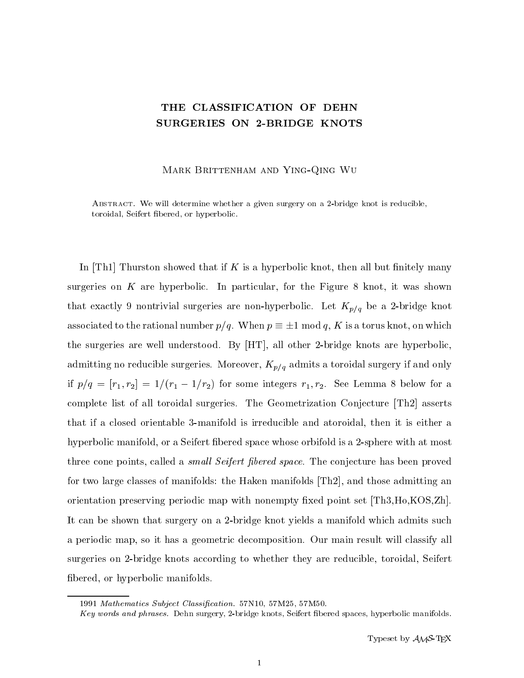## THE CLASSIFICATION OF DEHN SURGERIES ON 2-BRIDGE KNOTS

Mark Brittenham and Ying-Qing Wu

Abstract. We will determine whether a given surgery on a 2-bridge knot is reducible, toroidal, Seifert bered, or hyperbolic.

In  $\text{[Th1]}$  Thurston showed that if K is a hyperbolic knot, then all but finitely many surgeries on  $K$  are hyperbolic. In particular, for the Figure 8 knot, it was shown that exactly 9 nontrivial surgeries are non-hyperbolic. Let  $K_{p/q}$  be a 2-bridge knot associated to the rational number  $p/q$ . When  $p \equiv \pm 1 \mod q$ , K is a torus knot, on which the surgeries are well understood. By [HT], all other 2-bridge knots are hyperbolic, admitting no reducible surgeries. Moreover,  $K_{p/q}$  admits a toroidal surgery if and only if  $p/q = [r_1, r_2] = 1/(r_1 - 1/r_2)$  for some integers  $r_1, r_2$ . See Lemma 8 below for a complete list of all toroidal surgeries. The Geometrization Conjecture [Th2] asserts that if a closed orientable 3-manifold is irreducible and atoroidal, then it is either a hyperbolic manifold, or a Seifert bered space whose orbifold is a 2-sphere with at most three cone points, called a *small Seifert fibered space*. The conjecture has been proved for two large classes of manifolds: the Haken manifolds [Th2], and those admitting an orientation preserving periodic map with nonempty fixed point set [Th3,Ho,KOS,Zh]. It can be shown that surgery on a 2-bridge knot yields a manifold which admits such a periodic map, so it has a geometric decomposition. Our main result will classify all surgeries on 2-bridge knots according to whether they are reducible, toroidal, Seifert bered, or hyperbolic manifolds.

<sup>1991</sup> Mathematics Subject Classification. 57N10, 57M25, 57M50.

Key words and phrases. Dehn surgery, 2-bridge knots, Seifert bered spaces, hyperbolic manifolds.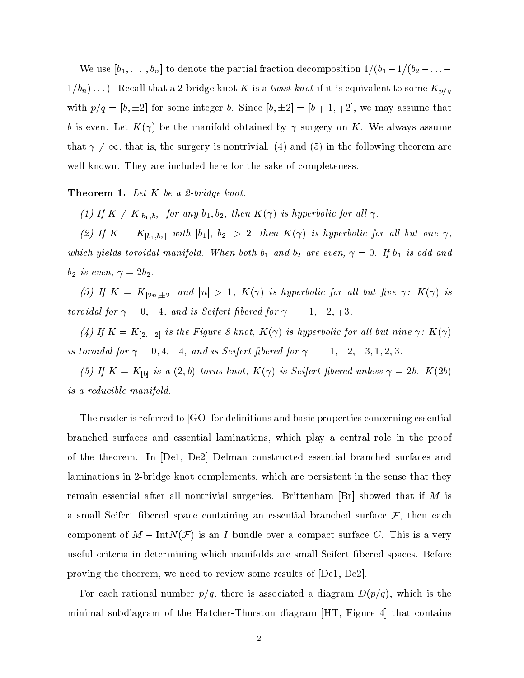We use  $[b_1,\ldots,b_n]$  to denote the partial fraction decomposition  $1/(b_1-1/(b_2 - \ldots 1/b_n) \dots$ ). Recall that a 2-bridge knot K is a twist knot if it is equivalent to some  $K_{p/q}$ with  $p/q = [b, \pm 2]$  for some integer b. Since  $[b, \pm 2] = [b \mp 1, \mp 2]$ , we may assume that o is even. Let's form assumed by the manifold of the manifold of the manifold of the manifold members of the man that  $\gamma \neq \infty$ , that is, the surgery is nontrivial. (4) and (5) in the following theorem are well known. They are included here for the sake of completeness.

## **Theorem 1.** Let  $K$  be a 2-bridge knot.

(1) If  $K \neq K_{[b_1,b_2]}$  for any  $b_1, b_2$ , then  $K(\gamma)$  is hyperbolic for all  $\gamma$ .

(2) If  $K = K_{[b_1, b_2]}$  with  $|b_1|, |b_2| > 2$ , then  $K(\gamma)$  is hyperbolic for all but one  $\gamma$ , which yields toroidal manifold. When both  $b_1$  and  $b_2$  are even,  $\gamma = 0$ . If  $b_1$  is odd and  $b_2$  is even,  $\gamma = 2b_2$ .

(3) If  $K = K_{[2n,\pm 2]}$  and  $|n| > 1$ ,  $K(\gamma)$  is hyperbolic for all but five  $\gamma$ :  $K(\gamma)$  is  $\emph{toroidal for $\gamma=0,\mp 4$, and is Seifert fibered for $\gamma=\mp 1,\mp 2,\mp 3$.}$ 

(4) If  $K = K_{[2,-2]}$  is the Figure 8 knot,  $K(\gamma)$  is hyperbolic for all but nine  $\gamma: K(\gamma)$ is toroidal for  $\gamma = 0, 4, -4$ , and is Seifert fibered for  $\gamma = -1, -2, -3, 1, 2, 3$ .

(5) If  $K = K_{[b]}$  is a  $(2, b)$  torus knot,  $K(\gamma)$  is Seifert fibered unless  $\gamma = 2b$ .  $K(2b)$ is a reducible manifold.

The reader is referred to  $[GO]$  for definitions and basic properties concerning essential branched surfaces and essential laminations, which play a central role in the proof of the theorem. In [De1, De2] Delman constructed essential branched surfaces and laminations in 2-bridge knot complements, which are persistent in the sense that they remain essential after all nontrivial surgeries. Brittenham  $[Br]$  showed that if M is a small Seifert fibered space containing an essential branched surface  $\mathcal{F}$ , then each component of  $M - \text{Int}N(\mathcal{F})$  is an I bundle over a compact surface G. This is a very useful criteria in determining which manifolds are small Seifert bered spaces. Before proving the theorem, we need to review some results of [De1, De2].

For each rational number  $p/q$ , there is associated a diagram  $D(p/q)$ , which is the minimal subdiagram of the Hatcher-Thurston diagram [HT, Figure 4] that contains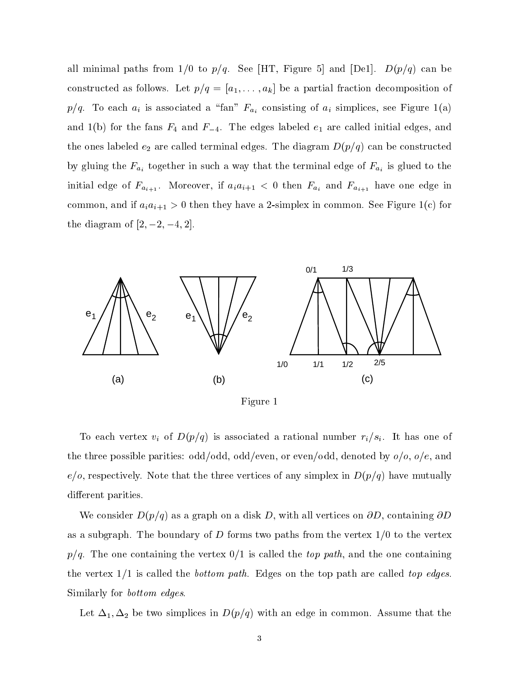all minimal paths from  $1/0$  to  $p/q$ . See [HT, Figure 5] and [De1].  $D(p/q)$  can be constructed as follows. Let  $p/q = [a_1, \ldots, a_k]$  be a partial fraction decomposition of  $p/q$ . To each  $a_i$  is associated a "fan"  $F_{a_i}$  consisting of  $a_i$  simplices, see Figure 1(a) and 1(b) for the fans  $F_4$  and  $F_{-4}$ . The edges labeled  $e_1$  are called initial edges, and the ones labeled  $e_2$  are called terminal edges. The diagram  $D(p/q)$  can be constructed by gluing the  $F_{a_i}$  together in such a way that the terminal edge of  $F_{a_i}$  is glued to the initial edge of  $F_{a_{i+1}}$ . Moreover, if  $a_i a_{i+1} < 0$  then  $F_{a_i}$  and  $F_{a_{i+1}}$  have one edge in common, and if  $a_i a_{i+1} > 0$  then they have a 2-simplex in common. See Figure 1(c) for the diagram of  $[2, -2, -4, 2]$ .



Figure 1

To each vertex  $v_i$  of  $D(p/q)$  is associated a rational number  $r_i/s_i$ . It has one of the three possible parities: odd/odd, odd/even, or even/odd, denoted by  $o/o$ ,  $o/e$ , and  $e/o$ , respectively. Note that the three vertices of any simplex in  $D(p/q)$  have mutually different parities.

We consider  $D(p/q)$  as a graph on a disk D, with all vertices on  $\partial D$ , containing  $\partial D$ as a subgraph. The boundary of D forms two paths from the vertex  $1/0$  to the vertex  $p/q$ . The one containing the vertex  $0/1$  is called the top path, and the one containing the vertex  $1/1$  is called the *bottom path*. Edges on the top path are called top edges. Similarly for bottom edges.

Let  $\Delta_1$ ,  $\Delta_2$  be two simplices in  $D(p/q)$  with an edge in common. Assume that the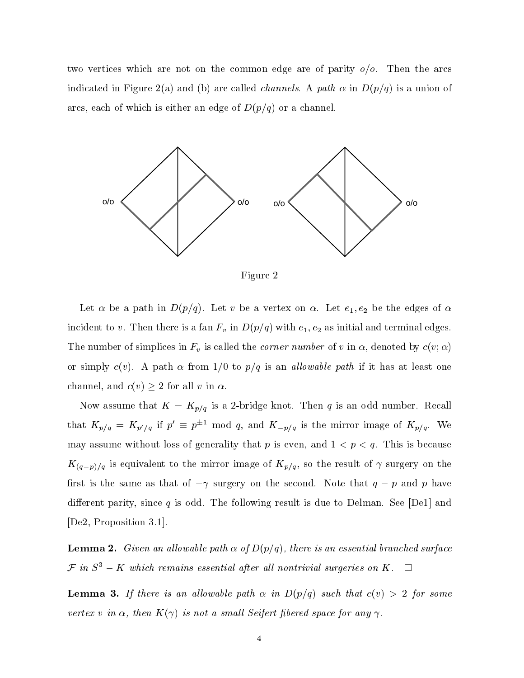two vertices which are not on the common edge are of parity  $o/o$ . Then the arcs indicated in Figure 2(a) and (b) are called *channels*. A path  $\alpha$  in  $D(p/q)$  is a union of arcs, each of which is either an edge of  $D(p/q)$  or a channel.



Figure 2

Let  $\alpha$  be a path in  $D(p/q)$ . Let v be a vertex on  $\alpha$ . Let  $e_1, e_2$  be the edges of  $\alpha$ incident to v. Then there is a fan  $F_v$  in  $D(p/q)$  with  $e_1, e_2$  as initial and terminal edges. The number of simplices in  $F_v$  is called the *corner number* of  $v$  in  $\alpha,$  denoted by  $c(v;\alpha)$ or simply  $c(v)$ . A path  $\alpha$  from 1/0 to  $p/q$  is an allowable path if it has at least one channel, and  $c(v) \geq 2$  for all v in  $\alpha$ .

Now assume that  $K = K_{p/q}$  is a 2-bridge knot. Then q is an odd number. Recall that  $K_{p/q} = K_{p'/q}$  if  $p' \equiv p^{\pm 1} \mod q$ , and  $K_{-p/q}$  is the mirror image of  $K_{p/q}$ . We may assume without loss of generality that p is even, and  $1 < p < q$ . This is because  $K_{(q-p)/q}$  is equivalent to the mirror image of  $K_{p/q}$ , so the result of  $\gamma$  surgery on the first is the same as that of  $-\gamma$  surgery on the second. Note that  $q - p$  and p have different parity, since q is odd. The following result is due to Delman. See [De1] and [De2, Proposition 3.1].

**Lemma 2.** Given an allowable path  $\alpha$  of  $D(p/q)$ , there is an essential branched surface  $\mathcal{F}$  in  $S^3 - K$  which remains essential after all nontrivial surgeries on K.  $\Box$ 

**Lemma 3.** If there is an allowable path  $\alpha$  in  $D(p/q)$  such that  $c(v) > 2$  for some vertex v in  $\alpha$ , then  $K(\gamma)$  is not a small Seifert fibered space for any  $\gamma$ .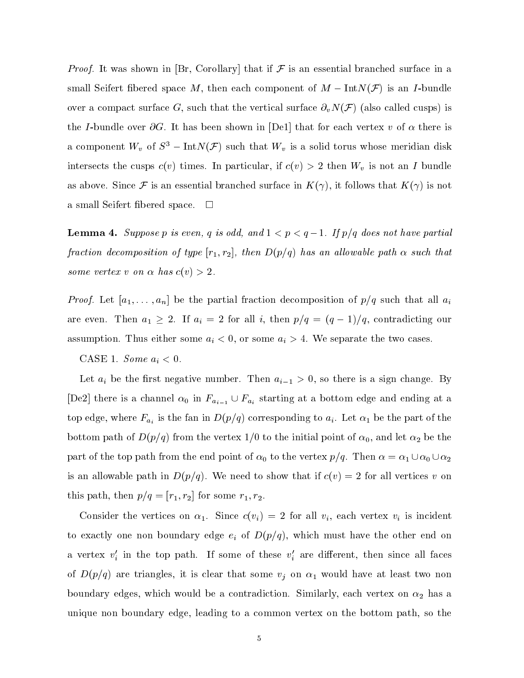*Proof.* It was shown in [Br, Corollary] that if  $\mathcal F$  is an essential branched surface in a small Seifert fibered space M, then each component of  $M - \text{Int}N(\mathcal{F})$  is an I-bundle over a compact surface G, such that the vertical surface  $\partial_v N(\mathcal{F})$  (also called cusps) is the I-bundle over  $\partial G$ . It has been shown in [De1] that for each vertex v of  $\alpha$  there is a component  $W_v$  of  $S^3 - \text{Int}N(\mathcal{F})$  such that  $W_v$  is a solid torus whose meridian disk intersects the cusps  $c(v)$  times. In particular, if  $c(v) > 2$  then  $W_v$  is not an I bundle as above. Since F is an essential branched surface in  $K(\gamma)$ , it follows that  $K(\gamma)$  is not a small Seifert fibered space.  $\square$ 

**Lemma 4.** Suppose p is even, q is odd, and  $1 < p < q-1$ . If  $p/q$  does not have partial fraction decomposition of type  $[r_1, r_2]$ , then  $D(p/q)$  has an allowable path  $\alpha$  such that some vertex v on  $\alpha$  has  $c(v) > 2$ .

*Proof.* Let  $[a_1,\ldots,a_n]$  be the partial fraction decomposition of  $p/q$  such that all  $a_i$ are even. Then  $a_1 \geq 2$ . If  $a_i = 2$  for all i, then  $p/q = (q - 1)/q$ , contradicting our assumption. Thus either some  $a_i < 0$ , or some  $a_i > 4$ . We separate the two cases.

CASE 1. Some  $a_i < 0$ .

Let  $a_i$  be the first negative number. Then  $a_{i-1} > 0$ , so there is a sign change. By [De2] there is a channel  $\alpha_0$  in  $F_{a_{i-1}} \cup F_{a_i}$  starting at a bottom edge and ending at a top edge, where  $F_{a_i}$  is the fan in  $D(p/q)$  corresponding to  $a_i$ . Let  $\alpha_1$  be the part of the bottom path of  $D(p/q)$  from the vertex 1/0 to the initial point of  $\alpha_0$ , and let  $\alpha_2$  be the part of the top path from the end point of  $\alpha_0$  to the vertex  $p/q$ . Then  $\alpha = \alpha_1 \cup \alpha_0 \cup \alpha_2$ is an allowable path in  $D(p/q)$ . We need to show that if  $c(v)=2$  for all vertices v on this path, then  $p/q=[r_1, r_2]$  for some  $r_1, r_2$ .

Consider the vertices on  $\alpha_1$ . Since  $c(v_i) = 2$  for all  $v_i$ , each vertex  $v_i$  is incident to exactly one non boundary edge  $e_i$  of  $D(p/q)$ , which must have the other end on a vertex  $v_i$  in the top path. If some of these  $v_i$  are different, then since all faces of  $D(p/q)$  are triangles, it is clear that some  $v_j$  on  $\alpha_1$  would have at least two non boundary edges, which would be a contradiction. Similarly, each vertex on  $\alpha_2$  has a unique non boundary edge, leading to a common vertex on the bottom path, so the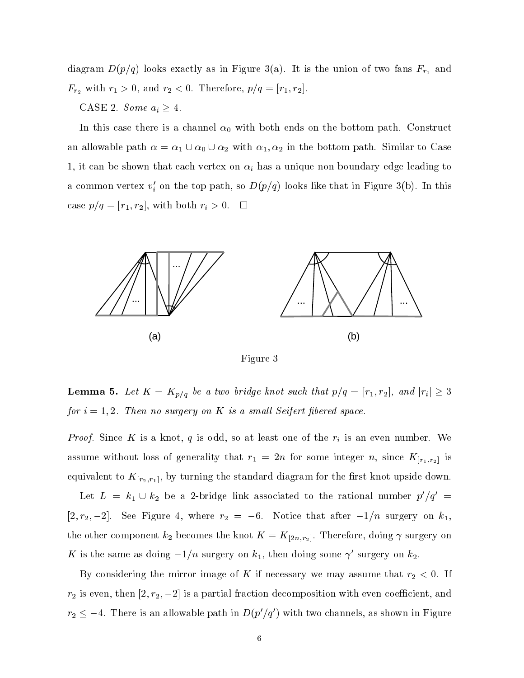diagram  $D(p/q)$  looks exactly as in Figure 3(a). It is the union of two fans  $F_{r_1}$  and  $F_{r_2}$  with  $r_1 > 0$ , and  $r_2 < 0$ . Therefore,  $p/q = [r_1, r_2]$ .

## CASE 2. Some  $a_i \geq 4$ .

In this case there is a channel  $\alpha_0$  with both ends on the bottom path. Construct an allowable path  $\alpha = \alpha_1 \cup \alpha_0 \cup \alpha_2$  with  $\alpha_1, \alpha_2$  in the bottom path. Similar to Case 1, it can be shown that each vertex on  $\alpha_i$  has a unique non boundary edge leading to a common vertex  $v_i'$  on the top path, so  $D(p/q)$  looks like that in Figure 3(b). In this case  $p/q=[r_1, r_2]$ , with both  $r_i > 0$ .  $\Box$ 



Figure 3

**Lemma 5.** Let  $K = K_{p/q}$  be a two bridge knot such that  $p/q = [r_1, r_2]$ , and  $|r_i| \geq 3$ for  $i = 1, 2$ . Then no surgery on K is a small Seifert fibered space.

*Proof.* Since K is a knot, q is odd, so at least one of the  $r_i$  is an even number. We assume without loss of generality that  $r_1 = 2n$  for some integer n, since  $K_{[r_1,r_2]}$  is equivalent to  $K_{[r_2,r_1]}$ , by turning the standard diagram for the first knot upside down.

Let  $L = k_1 \cup k_2$  be a 2-bridge link associated to the rational number  $p'/q' =$  $[2, r_2, -2]$ . See Figure 4, where  $r_2 = -6$ . Notice that after  $-1/n$  surgery on  $k_1$ , the other component  $k_2$  becomes the knot  $K = K_{[2n,r_2]}$ . Therefore, doing  $\gamma$  surgery on  $\Lambda$  is the same as doing  $-i/n$  surgery on  $\kappa_1$ , then doing some  $\gamma$  surgery on  $\kappa_2$ .

By considering the mirror image of K if necessary we may assume that  $r_2 < 0$ . If  $r_2$  is even, then  $[2, r_2, -2]$  is a partial fraction decomposition with even coefficient, and  $r_2 \leq -4$ . There is an allowable path in  $D(p'/q')$  with two channels, as shown in Figure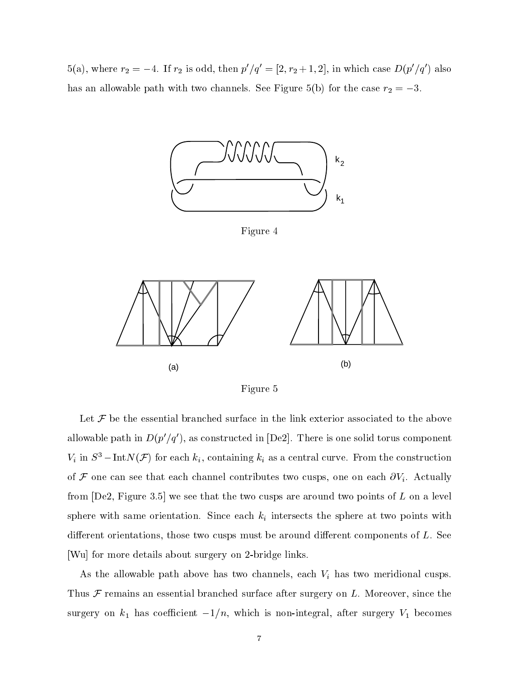5(a), where  $r_2 = -4$ . If  $r_2$  is odd, then  $p'/q' = [2, r_2 + 1, 2]$ , in which case  $D(p'/q')$  also has an allowable path with two channels. See Figure 5(b) for the case  $r_2 = -3$ .



Figure 4



Figure 5

Let  $\mathcal F$  be the essential branched surface in the link exterior associated to the above allowable path in  $D(p'/q')$ , as constructed in [De2]. There is one solid torus component  $V_i$  in  $S^3$  – Int $N(\mathcal{F})$  for each  $k_i$ , containing  $k_i$  as a central curve. From the construction of  $\mathcal F$  one can see that each channel contributes two cusps, one on each  $\partial V_i$ . Actually from  $[De2, Figure 3.5]$  we see that the two cusps are around two points of  $L$  on a level sphere with same orientation. Since each  $k_i$  intersects the sphere at two points with different orientations, those two cusps must be around different components of  $L$ . See [Wu] for more details about surgery on 2-bridge links.

As the allowable path above has two channels, each  $V_i$  has two meridional cusps. Thus  $\mathcal F$  remains an essential branched surface after surgery on L. Moreover, since the surgery on  $k_1$  has coefficient  $-1/n$ , which is non-integral, after surgery  $V_1$  becomes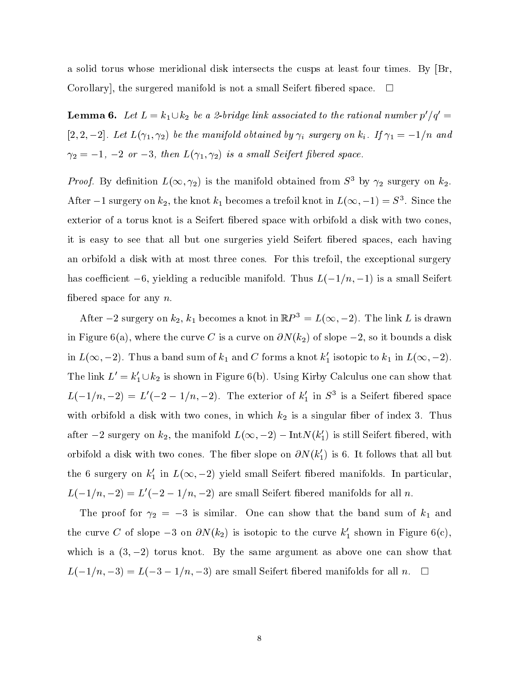a solid torus whose meridional disk intersects the cusps at least four times. By [Br, Corollary, the surgered manifold is not a small Seifert fibered space.  $\Box$ 

**Lemma 6.** Let  $L = k_1 \cup k_2$  be a 2-bridge link associated to the rational number  $p'/q' =$ [2, 2, -2]. Let  $L(\gamma_1, \gamma_2)$  be the manifold obtained by  $\gamma_i$  surgery on  $k_i$ . If  $\gamma_1 = -1/n$  and  $\gamma_2 = -1, -2 \text{ or } -3, \text{ then } L(\gamma_1, \gamma_2) \text{ is a small Seifert fibered space.}$ 

*Proof.* By definition  $L(\infty, \gamma_2)$  is the manifold obtained from  $S^3$  by  $\gamma_2$  surgery on  $k_2$ . After  $-1$  surgery on  $\kappa_2$ , the knot  $\kappa_1$  becomes a trefoil knot in  $L(\infty, -1) = S$  . Since the exterior of a torus knot is a Seifert bered space with orbifold a disk with two cones, it is easy to see that all but one surgeries yield Seifert fibered spaces, each having an orbifold a disk with at most three cones. For this trefoil, the exceptional surgery has coefficient -6, yielding a reducible manifold. Thus  $L(-1/n, -1)$  is a small Seifert fibered space for any  $n$ .

After  $-2$  surgery on  $k_2$ ,  $k_1$  becomes a knot in  $\mathbb{R}P^3 = L(\infty, -2)$ . The link L is drawn in Figure 6(a), where the curve C is a curve on  $\partial N(k_2)$  of slope  $-2$ , so it bounds a disk in  $L(\infty, -2)$ . Thus a band sum of  $k_1$  and C forms a knot  $k'_1$  isotopic to  $k_1$  in  $L(\infty, -2)$ . The link  $L' = k_1' \cup k_2$  is shown in Figure 6(b). Using Kirby Calculus one can show that  $L(-1/n, -2) = L(-2 - 1/n, -2)$ . The exterior of  $\kappa_1$  in S<sup>3</sup> is a Seifert indeped space with orbifold a disk with two cones, in which  $k_2$  is a singular fiber of index 3. Thus after  $-2$  surgery on  $k_2$ , the manifold  $L(\infty, -2) - \text{Int}N(k_1)$  is still Seifert fibered, with orbifold a disk with two cones. The fiber slope on  $\partial N(k_1)$  is 6. It follows that all but the 6 surgery on  $k_1'$  in  $L(\infty, -2)$  yield small Seifert fibered manifolds. In particular,  $L(-1/n, -2) = L'(-2 - 1/n, -2)$  are small Seifert fibered manifolds for all n.

The proof for  $\gamma_2 = -3$  is similar. One can show that the band sum of  $k_1$  and the curve C of slope  $-3$  on  $\partial N(k_2)$  is isotopic to the curve  $k'_1$  shown in Figure 6(c), which is a  $(3,-2)$  torus knot. By the same argument as above one can show that  $L(-1/n, -3) = L(-3 - 1/n, -3)$  are small Seifert fibered manifolds for all  $n. \square$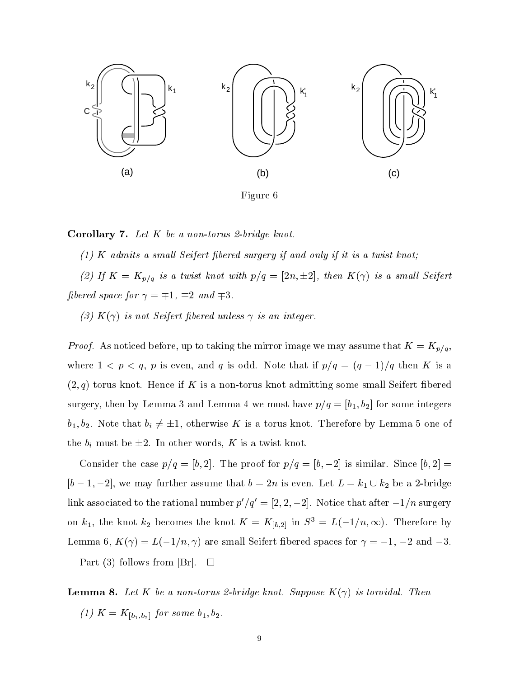

Corollary 7. Let <sup>K</sup> be a non-torus 2-bridge knot.

 $(1)$  K admits a small Seifert fibered surgery if and only if it is a twist knot;

(2) If  $K = K_{p/q}$  is a twist knot with  $p/q = [2n, \pm 2]$ , then  $K(\gamma)$  is a small Seifert fibered space for  $\gamma = \mp 1, \mp 2$  and  $\mp 3$ .

(3)  $K(\gamma)$  is not Seifert fibered unless  $\gamma$  is an integer.

*Proof.* As noticed before, up to taking the mirror image we may assume that  $K = K_{p/q}$ , where  $1 < p < q$ , p is even, and q is odd. Note that if  $p/q = (q - 1)/q$  then K is a  $(2,q)$  torus knot. Hence if K is a non-torus knot admitting some small Seifert fibered surgery, then by Lemma 3 and Lemma 4 we must have  $p/q = [b_1, b_2]$  for some integers  $b_1, b_2$ . Note that  $b_i \neq \pm 1$ , otherwise K is a torus knot. Therefore by Lemma 5 one of the  $b_i$  must be  $\pm 2$ . In other words, K is a twist knot.

Consider the case  $p/q = [b, 2]$ . The proof for  $p/q = [b, -2]$  is similar. Since  $[b, 2] =$  $[b - 1, -2]$ , we may further assume that  $b = 2n$  is even. Let  $L = k_1 \cup k_2$  be a 2-bridge link associated to the rational number  $p'/q' = [2, 2, -2]$ . Notice that after  $-1/n$  surgery on  $k_1$ , the knot  $k_2$  becomes the knot  $K = K_{[b,2]}$  in  $S^3 = L(-1/n, \infty)$ . Therefore by Lemma 6,  $K(\gamma) = L(-1/n, \gamma)$  are small Seifert fibered spaces for  $\gamma = -1, -2$  and  $-3$ .

Part (3) follows from [Br].  $\Box$ 

**Lemma 8.** Let K be a non-torus 2-bridge knot. Suppose  $K(\gamma)$  is toroidal. Then (1)  $K = K_{[b_1,b_2]}$  for some  $b_1, b_2$ .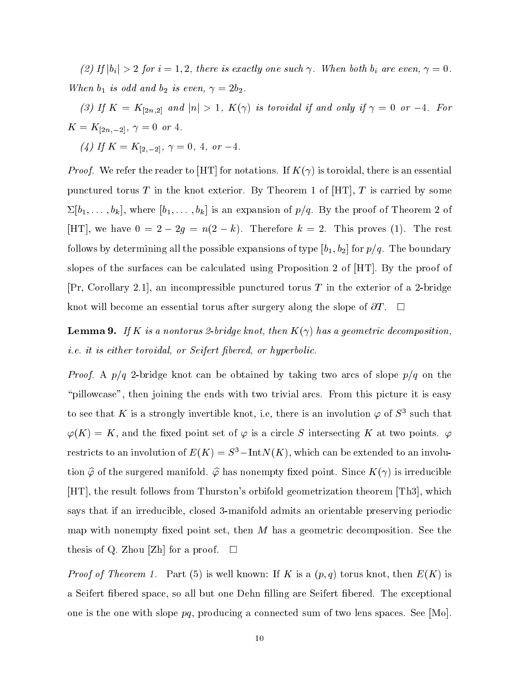(2) If  $|b_i| > 2$  for  $i = 1, 2$ , there is exactly one such  $\gamma$ . When both  $b_i$  are even,  $\gamma = 0$ . When  $b_1$  is odd and  $b_2$  is even,  $\gamma = 2b_2$ .

(3) If  $K = K_{[2n,2]}$  and  $|n| > 1$ ,  $K(\gamma)$  is toroidal if and only if  $\gamma = 0$  or  $-4$ . For K = K[2n;2], = 0 or 4.

(4) If  $K = K_{[2,-2]}$ ,  $\gamma = 0, 4,$  or  $-4$ .

*Proof.* We refer the reader to [HT] for notations. If  $K(\gamma)$  is toroidal, there is an essential punctured torus T in the knot exterior. By Theorem 1 of  $[HT]$ , T is carried by some  $\Sigma[b_1,\ldots,b_k]$ , where  $[b_1,\ldots,b_k]$  is an expansion of  $p/q$ . By the proof of Theorem 2 of [HT], we have  $0 = 2 - 2g = n(2 - k)$ . Therefore  $k = 2$ . This proves (1). The rest follows by determining all the possible expansions of type  $[b_1, b_2]$  for  $p/q$ . The boundary slopes of the surfaces can be calculated using Proposition 2 of [HT]. By the proof of  $[Pr, Corollary 2.1],$  an incompressible punctured torus T in the exterior of a 2-bridge knot will become an essential torus after surgery along the slope of  $\partial T$ .

**Lemma 9.** If K is a nontorus 2-bridge knot, then  $K(\gamma)$  has a geometric decomposition, *i.e.* it is either toroidal, or Seifert fibered, or hyperbolic.

*Proof.* A  $p/q$  2-bridge knot can be obtained by taking two arcs of slope  $p/q$  on the "pillowcase", then joining the ends with two trivial arcs. From this picture it is easy to see that  $\kappa$  is a strongly invertible knot, i.e, there is an involution  $\varphi$  of  $S^*$  such that  $\varphi(K) = K$ , and the fixed point set of  $\varphi$  is a circle S intersecting K at two points.  $\varphi$ restricts to an involution of  $E(K) = S^3 - \text{Int}N(K)$ , which can be extended to an involution  $\hat{\varphi}$  of the surgered manifold.  $\hat{\varphi}$  has nonempty fixed point. Since  $K(\gamma)$  is irreducible [HT], the result follows from Thurston's orbifold geometrization theorem [Th3], which says that if an irreducible, closed 3-manifold admits an orientable preserving periodic map with nonempty fixed point set, then  $M$  has a geometric decomposition. See the thesis of Q. Zhou [Zh] for a proof.  $\square$ 

*Proof of Theorem 1.* Part (5) is well known: If K is a  $(p, q)$  torus knot, then  $E(K)$  is a Seifert bered space, so all but one Dehn lling are Seifert bered. The exceptional one is the one with slope  $pq$ , producing a connected sum of two lens spaces. See [Mo].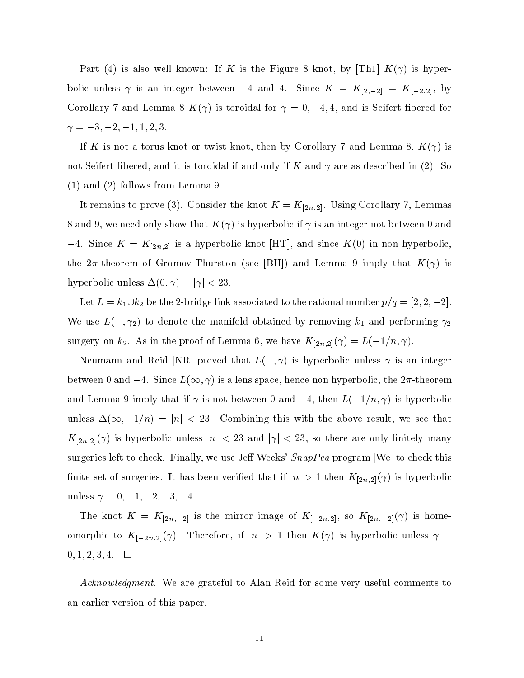Part (4) is also well known: If K is the Figure 8 knot, by  $|{\rm Th1}| K(\gamma)$  is hyperbolic unless  $\gamma$  is an integer between -4 and 4. Since  $K = K_{[2,-2]} = K_{[-2,2]}$ , by Corollary 7 and Lemma 8  $K(\gamma)$  is toroidal for  $\gamma = 0, -4, 4$ , and is Seifert fibered for = 3; 2;1; 1; 2; 3.

If K is not a torus knot or twist knot, then by Corollary 7 and Lemma 8,  $K(\gamma)$  is not Seifert fibered, and it is toroidal if and only if K and  $\gamma$  are as described in (2). So (1) and (2) follows from Lemma 9.

It remains to prove (3). Consider the knot  $K = K_{[2n,2]}$ . Using Corollary 7, Lemmas 8 and 9, we need only show that  $K(\gamma)$  is hyperbolic if  $\gamma$  is an integer not between 0 and -4. Since  $K = K_{[2n,2]}$  is a hyperbolic knot [HT], and since  $K(0)$  in non hyperbolic, the  $2\pi$ -theorem of Gromov-Thurston (see [BH]) and Lemma 9 imply that  $K(\gamma)$  is hyperbolic unless  $\Delta(0, \gamma) = |\gamma| < 23$ .

Let  $L = k_1 \cup k_2$  be the 2-bridge link associated to the rational number  $p/q = [2, 2, -2]$ . We use  $L(-, \gamma_2)$  to denote the manifold obtained by removing  $k_1$  and performing  $\gamma_2$ surgery on  $k_2$ . As in the proof of Lemma 6, we have  $K_{[2n,2]}(\gamma) = L(-1/n, \gamma)$ .

Neumann and Reid [NR] proved that  $L(-, \gamma)$  is hyperbolic unless  $\gamma$  is an integer between 0 and  $-4$ . Since  $L(\infty, \gamma)$  is a lens space, hence non hyperbolic, the  $2\pi$ -theorem and Lemma 9 imply that if  $\gamma$  is not between 0 and  $-4$ , then  $L(-1/n, \gamma)$  is hyperbolic unless  $\Delta(\infty, -1/n) = |n| < 23$ . Combining this with the above result, we see that  $K_{[2n,2]}(\gamma)$  is hyperbolic unless  $|n| < 23$  and  $|\gamma| < 23$ , so there are only finitely many surgeries left to check. Finally, we use Jeff Weeks'  $SnapPea$  program [We] to check this finite set of surgeries. It has been verified that if  $|n| > 1$  then  $K_{[2n,2]}(\gamma)$  is hyperbolic unless  $\gamma = 0, -1, -2, -3, -4.$ 

The knot  $K = K_{[2n,-2]}$  is the mirror image of  $K_{[-2n,2]}$ , so  $K_{[2n,-2]}(\gamma)$  is homeomorphic to  $K_{[-2n,2]}(\gamma)$ . Therefore, if  $|n| > 1$  then  $K(\gamma)$  is hyperbolic unless  $\gamma =$  $0, 1, 2, 3, 4. \square$ 

Acknowledgment. We are grateful to Alan Reid for some very useful comments to an earlier version of this paper.